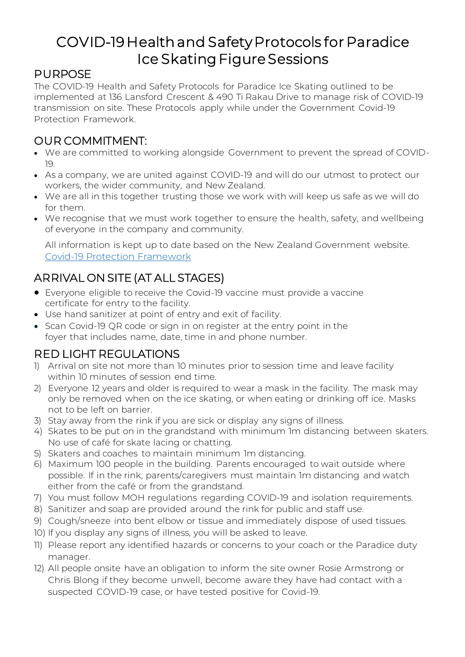# COVID-19 Health and Safety Protocols for Paradice Ice Skating Figure Sessions

#### PURPOSE

The COVID-19 Health and Safety Protocols for Paradice Ice Skating outlined to be implemented at 136 Lansford Crescent & 490 Ti Rakau Drive to manage risk of COVID-19 transmission on site. These Protocols apply while under the Government Covid-19 Protection Framework.

# OUR COMMITMENT:

- We are committed to working alongside Government to prevent the spread of COVID-19.
- As a company, we are united against COVID-19 and will do our utmost to protect our workers, the wider community, and New Zealand.
- We are all in this together trusting those we work with will keep us safe as we will do for them.
- We recognise that we must work together to ensure the health, safety, and wellbeing of everyone in the company and community.

All information is kept up to date based on the New Zealand Government website. [Covid-19 Protection Framework](https://covid19.govt.nz/assets/COVID-19-Protection-Framework/COVID-19-Protection-Framework-22-October-2021.pdf)

# ARRIVAL ON SITE (AT ALL STAGES)

- Everyone eligible to receive the Covid-19 vaccine must provide a vaccine certificate for entry to the facility.
- Use hand sanitizer at point of entry and exit of facility.
- Scan Covid-19 QR code or sign in on register at the entry point in the foyer that includes name, date, time in and phone number.

## RED LIGHT REGULATIONS

- 1) Arrival on site not more than 10 minutes prior to session time and leave facility within 10 minutes of session end time.
- 2) Everyone 12 years and older is required to wear a mask in the facility. The mask may only be removed when on the ice skating, or when eating or drinking off ice. Masks not to be left on barrier.
- 3) Stay away from the rink if you are sick or display any signs of illness.
- 4) Skates to be put on in the grandstand with minimum 1m distancing between skaters. No use of café for skate lacing or chatting.
- 5) Skaters and coaches to maintain minimum 1m distancing.
- 6) Maximum 100 people in the building. Parents encouraged to wait outside where possible. If in the rink, parents/caregivers must maintain 1m distancing and watch either from the café or from the grandstand.
- 7) You must follow MOH regulations regarding COVID-19 and isolation requirements.
- 8) Sanitizer and soap are provided around the rink for public and staff use.
- 9) Cough/sneeze into bent elbow or tissue and immediately dispose of used tissues.
- 10) If you display any signs of illness, you will be asked to leave.
- 11) Please report any identified hazards or concerns to your coach or the Paradice duty manager.
- 12) All people onsite have an obligation to inform the site owner Rosie Armstrong or Chris Blong if they become unwell, become aware they have had contact with a suspected COVID-19 case, or have tested positive for Covid-19.